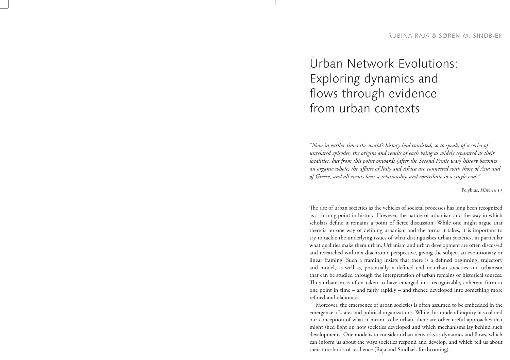## Urban Network Evolutions: Exploring dynamics and flows through evidence from urban contexts

*"Now in earlier times the world's history had consisted, so to speak, of a series of unrelated episodes, the origins and results of each being as widely separated as their localities, but from this point onwards [after the Second Punic war] history becomes* an organic whole: the affairs of Italy and Africa are connected with those of Asia and *of Greece, and all events bear a relationship and contribute to a single end."*

Polybius, *Histories* 1.3

The rise of urban societies as the vehicles of societal processes has long been recognized as a turning point in history. However, the nature of urbanism and the way in which scholars define it remains a point of fierce discussion. While one might argue that there is no one way of defining urbanism and the forms it takes, it is important to try to tackle the underlying issues of what distinguishes urban societies, in particular what qualities make them urban. Urbanism and urban development are often discussed and researched within a diachronic perspective, giving the subject an evolutionary or linear framing. Such a framing insists that there is a defined beginning, trajectory and model, as well as, potentially, a defined end to urban societies and urbanism that can be studied through the interpretation of urban remains or historical sources. Thus urbanism is often taken to have emerged in a recognizable, coherent form at one point in time – and fairly rapidly – and thence developed into something more refined and elaborate.

Moreover, the emergence of urban societies is often assumed to be embedded in the emergence of states and political organizations. While this mode of inquiry has colored our conception of what it meant to be urban, there are other useful approaches that might shed light on how societies developed and which mechanisms lay behind such developments. One mode is to consider urban networks as dynamics and flows, which can inform us about the ways societies respond and develop, and which tell us about their thresholds of resilience (Raja and Sindbæk forthcoming).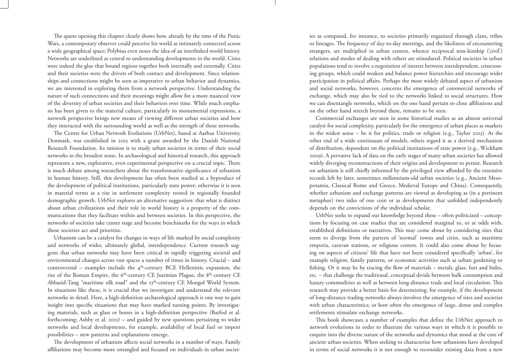The quote opening this chapter clearly shows how, already by the time of the Punic Wars, a contemporary observer could perceive his world as intimately connected across a wide geographical space; Polybius even notes the idea of an interlinked world history. Networks are underlined as central to understanding developments in the world. Cities were indeed the glue that bound regions together both internally and externally. Cities and their societies were the drivers of both contact and development. Since relationships and connections might be seen as imperative to urban behavior and dynamics, we are interested in exploring them from a network perspective. Understanding the nature of such connections and their meanings might allow for a more nuanced view of the diversity of urban societies and their behaviors over time. While much emphasis has been given to the material culture, particularly its monumental expressions, a network perspective brings new means of viewing different urban societies and how they interacted with the surrounding world as well as the strength of these networks.

The Centre for Urban Network Evolutions (UrbNet), based at Aarhus University, Denmark, was established in 2015 with a grant awarded by the Danish National Research Foundation. Its mission is to study urban societies in terms of their social networks in the broadest sense. In archaeological and historical research, this approach represents a new, explorative, even experimental perspective on a crucial topic. There is much debate among researchers about the transformative significance of urbanism in human history. Still, this development has often been studied as a byproduct of the development of political institutions, particularly state power; otherwise it is seen in material terms as a rise in settlement complexity rooted in regionally founded demographic growth. UrbNet explores an alternative suggestion: that what is distinct about urban civilizations and their role in world history is a property of the communications that they facilitate within and between societies. In this perspective, the networks of societies take center stage and become benchmarks for the ways in which those societies act and prioritize.

Urbanism can be a catalyst for changes in ways of life marked by social complexity and networks of wider, ultimately global, interdependence. Current research suggests that urban networks may have been critical in rapidly triggering societal and environmental changes across vast spaces a number of times in history. Crucial – and controversial – examples include the  $4<sup>th</sup>$ -century BCE Hellenistic expansion, the rise of the Roman Empire, the 6th-century CE Justinian Plague, the 8th-century CE Abbasid-Tang "maritime silk road" and the 13<sup>th</sup>-century CE Mongol World System. In situations like these, it is crucial that we investigate and understand the relevant networks in detail. Here, a high-definition archaeological approach is one way to gain insight into specific situations that may have marked turning points. By investigating materials, such as glass or bones in a high-definition perspective (Barfod et al. forthcoming; Ashby et al. 2015) – and guided by new questions pertaining to wider networks and local developments, for example, availability of local fuel or import possibilities – new patterns and explanations emerge.

The development of urbanism affects social networks in a number of ways. Family affiliations may become more entangled and focused on individuals in urban societ-

is as conspared, for instance, to obtide principly obtained by exploited through class, titles are a conspared, and in the mangers. The inequality of the system standard constrained and interest standard in the system sta